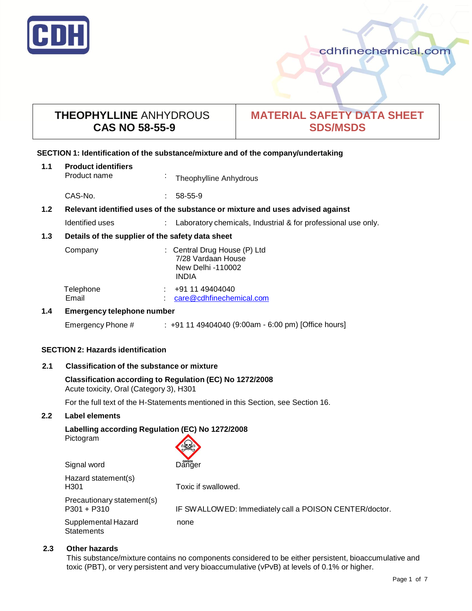

# **THEOPHYLLINE** ANHYDROUS **CAS NO 58-55-9**

# **MATERIAL SAFETY DATA SHEET SDS/MSDS**

# **SECTION 1: Identification of the substance/mixture and of the company/undertaking**

| 1.1              | <b>Product identifiers</b><br>Product name                                    | ä. | Theophylline Anhydrous                                                                  |
|------------------|-------------------------------------------------------------------------------|----|-----------------------------------------------------------------------------------------|
|                  | CAS-No.                                                                       |    | 58-55-9                                                                                 |
| 1.2 <sub>2</sub> | Relevant identified uses of the substance or mixture and uses advised against |    |                                                                                         |
|                  | Identified uses                                                               |    | Laboratory chemicals, Industrial & for professional use only.                           |
| 1.3              | Details of the supplier of the safety data sheet                              |    |                                                                                         |
|                  | Company                                                                       |    | : Central Drug House (P) Ltd<br>7/28 Vardaan House<br>New Delhi -110002<br><b>INDIA</b> |
|                  | Telephone<br>Email                                                            |    | +91 11 49404040<br>care@cdhfinechemical.com                                             |
| 1.4              | <b>Emergency telephone number</b>                                             |    |                                                                                         |

# Emergency Phone # : +91 11 49404040 (9:00am - 6:00 pm) [Office hours]

# **SECTION 2: Hazards identification**

# **2.1 Classification of the substance or mixture**

# **Classification according to Regulation (EC) No 1272/2008** Acute toxicity, Oral (Category 3), H301

For the full text of the H-Statements mentioned in this Section, see Section 16.

# **2.2 Label elements**

# **Labelling according Regulation (EC) No 1272/2008**

Pictogram

| Pictogram    |            |
|--------------|------------|
|              |            |
|              |            |
| Olama Lucand | GHS06<br>. |

| <b>Digilal WORU</b>                         | Danuel                                                 |
|---------------------------------------------|--------------------------------------------------------|
| Hazard statement(s)<br>H <sub>301</sub>     | Toxic if swallowed.                                    |
| Precautionary statement(s)<br>$P301 + P310$ | IF SWALLOWED: Immediately call a POISON CENTER/doctor. |
| Supplemental Hazard<br><b>Statements</b>    | none                                                   |

# **2.3 Other hazards**

This substance/mixture contains no components considered to be either persistent, bioaccumulative and toxic (PBT), or very persistent and very bioaccumulative (vPvB) at levels of 0.1% or higher.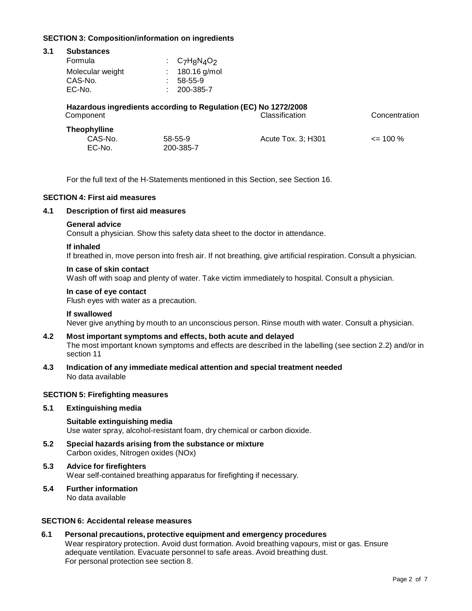# **SECTION 3: Composition/information on ingredients**

| 3.1 | <b>Substances</b>                                               |                      |                    |               |  |  |  |
|-----|-----------------------------------------------------------------|----------------------|--------------------|---------------|--|--|--|
|     | Formula                                                         | $C_7H_8N_4O_2$       |                    |               |  |  |  |
|     | Molecular weight<br>CAS-No.<br>EC-No.                           | 58-55-9<br>200-385-7 | 180.16 g/mol       |               |  |  |  |
|     | Hazardous ingredients according to Regulation (EC) No 1272/2008 |                      |                    |               |  |  |  |
|     | Component                                                       |                      | Classification     | Concentration |  |  |  |
|     | <b>Theophylline</b>                                             |                      |                    |               |  |  |  |
|     | CAS-No.                                                         | 58-55-9              | Acute Tox. 3; H301 | $\leq$ 100 %  |  |  |  |
|     | EC-No.                                                          | 200-385-7            |                    |               |  |  |  |

For the full text of the H-Statements mentioned in this Section, see Section 16.

#### **SECTION 4: First aid measures**

# **4.1 Description of first aid measures**

#### **General advice**

Consult a physician. Show this safety data sheet to the doctor in attendance.

#### **If inhaled**

If breathed in, move person into fresh air. If not breathing, give artificial respiration. Consult a physician.

#### **In case of skin contact**

Wash off with soap and plenty of water. Take victim immediately to hospital. Consult a physician.

#### **In case of eye contact**

Flush eyes with water as a precaution.

#### **If swallowed**

Never give anything by mouth to an unconscious person. Rinse mouth with water. Consult a physician.

# **4.2 Most important symptoms and effects, both acute and delayed**

The most important known symptoms and effects are described in the labelling (see section 2.2) and/or in section 11

**4.3 Indication of any immediate medical attention and special treatment needed** No data available

#### **SECTION 5: Firefighting measures**

# **5.1 Extinguishing media**

#### **Suitable extinguishing media** Use water spray, alcohol-resistant foam, dry chemical or carbon dioxide.

**5.2 Special hazards arising from the substance or mixture** Carbon oxides, Nitrogen oxides (NOx)

# **5.3 Advice for firefighters** Wear self-contained breathing apparatus for firefighting if necessary.

#### **5.4 Further information** No data available

# **SECTION 6: Accidental release measures**

**6.1 Personal precautions, protective equipment and emergency procedures** Wear respiratory protection. Avoid dust formation. Avoid breathing vapours, mist or gas. Ensure adequate ventilation. Evacuate personnel to safe areas. Avoid breathing dust. For personal protection see section 8.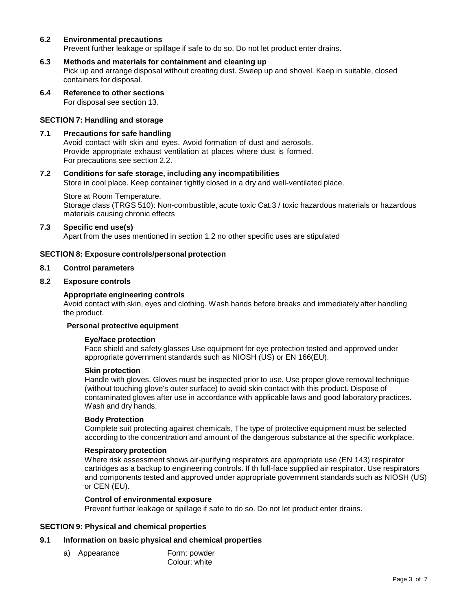# **6.2 Environmental precautions**

Prevent further leakage or spillage if safe to do so. Do not let product enter drains.

#### **6.3 Methods and materials for containment and cleaning up**

Pick up and arrange disposal without creating dust. Sweep up and shovel. Keep in suitable, closed containers for disposal.

**6.4 Reference to other sections** For disposal see section 13.

#### **SECTION 7: Handling and storage**

#### **7.1 Precautions for safe handling**

Avoid contact with skin and eyes. Avoid formation of dust and aerosols. Provide appropriate exhaust ventilation at places where dust is formed. For precautions see section 2.2.

#### **7.2 Conditions for safe storage, including any incompatibilities**

Store in cool place. Keep container tightly closed in a dry and well-ventilated place.

Store at Room Temperature. Storage class (TRGS 510): Non-combustible, acute toxic Cat.3 / toxic hazardous materials or hazardous materials causing chronic effects

# **7.3 Specific end use(s)**

Apart from the uses mentioned in section 1.2 no other specific uses are stipulated

#### **SECTION 8: Exposure controls/personal protection**

#### **8.1 Control parameters**

#### **8.2 Exposure controls**

#### **Appropriate engineering controls**

Avoid contact with skin, eyes and clothing. Wash hands before breaks and immediately after handling the product.

#### **Personal protective equipment**

#### **Eye/face protection**

Face shield and safety glasses Use equipment for eye protection tested and approved under appropriate government standards such as NIOSH (US) or EN 166(EU).

#### **Skin protection**

Handle with gloves. Gloves must be inspected prior to use. Use proper glove removal technique (without touching glove's outer surface) to avoid skin contact with this product. Dispose of contaminated gloves after use in accordance with applicable laws and good laboratory practices. Wash and dry hands.

#### **Body Protection**

Complete suit protecting against chemicals, The type of protective equipment must be selected according to the concentration and amount of the dangerous substance at the specific workplace.

### **Respiratory protection**

Where risk assessment shows air-purifying respirators are appropriate use (EN 143) respirator cartridges as a backup to engineering controls. If th full-face supplied air respirator. Use respirators and components tested and approved under appropriate government standards such as NIOSH (US) or CEN (EU).

#### **Control of environmental exposure**

Prevent further leakage or spillage if safe to do so. Do not let product enter drains.

# **SECTION 9: Physical and chemical properties**

# **9.1 Information on basic physical and chemical properties**

a) Appearance Form: powder Colour: white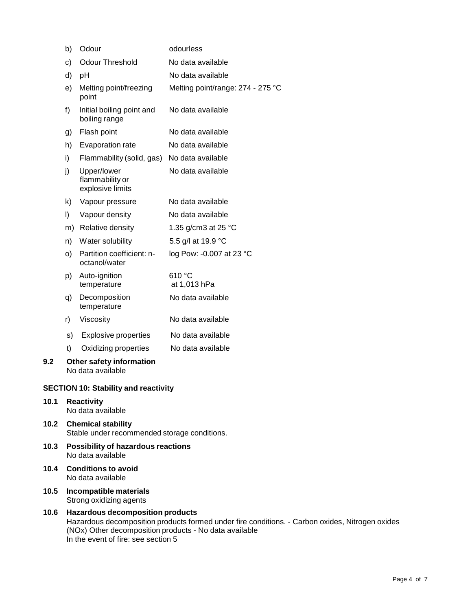|     | b)      | Odour                                                | odourless                         |
|-----|---------|------------------------------------------------------|-----------------------------------|
|     | c)      | <b>Odour Threshold</b>                               | No data available                 |
|     | d)      | pH                                                   | No data available                 |
|     | e)      | Melting point/freezing<br>point                      | Melting point/range: 274 - 275 °C |
|     | f)      | Initial boiling point and<br>boiling range           | No data available                 |
|     | g)      | Flash point                                          | No data available                 |
|     | h)      | Evaporation rate                                     | No data available                 |
|     | i)      | Flammability (solid, gas)                            | No data available                 |
|     | j)      | Upper/lower<br>flammability or<br>explosive limits   | No data available                 |
|     | k)      | Vapour pressure                                      | No data available                 |
|     | $\vert$ | Vapour density                                       | No data available                 |
|     | m)      | Relative density                                     | 1.35 g/cm3 at 25 °C               |
|     | n)      | Water solubility                                     | 5.5 g/l at 19.9 °C                |
|     | O)      | Partition coefficient: n-<br>octanol/water           | log Pow: -0.007 at 23 °C          |
|     | p)      | Auto-ignition<br>temperature                         | 610 °C<br>at 1,013 hPa            |
|     | q)      | Decomposition<br>temperature                         | No data available                 |
|     | r)      | Viscosity                                            | No data available                 |
|     | s)      | <b>Explosive properties</b>                          | No data available                 |
|     | t)      | Oxidizing properties                                 | No data available                 |
| 9.2 |         | <b>Other safety information</b><br>No data available |                                   |
|     |         | <b>SECTION 10: Stability and reactivity</b>          |                                   |

# **10.1 Reactivity** No data available

- **10.2 Chemical stability** Stable under recommended storage conditions.
- **10.3 Possibility of hazardous reactions** No data available
- **10.4 Conditions to avoid** No data available
- **10.5 Incompatible materials** Strong oxidizing agents
- **10.6 Hazardous decomposition products** Hazardous decomposition products formed under fire conditions. - Carbon oxides, Nitrogen oxides (NOx) Other decomposition products - No data available In the event of fire: see section 5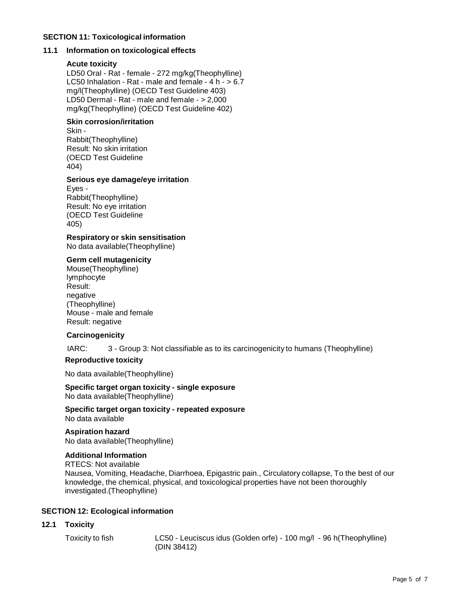### **SECTION 11: Toxicological information**

# **11.1 Information on toxicological effects**

#### **Acute toxicity**

LD50 Oral - Rat - female - 272 mg/kg(Theophylline) LC50 Inhalation - Rat - male and female - 4 h - > 6.7 mg/l(Theophylline) (OECD Test Guideline 403) LD50 Dermal - Rat - male and female - > 2,000 mg/kg(Theophylline) (OECD Test Guideline 402)

### **Skin corrosion/irritation**

Skin - Rabbit(Theophylline) Result: No skin irritation (OECD Test Guideline 404)

#### **Serious eye damage/eye irritation**

Eyes - Rabbit(Theophylline) Result: No eye irritation (OECD Test Guideline 405)

**Respiratory or skin sensitisation** No data available(Theophylline)

# **Germ cell mutagenicity**

Mouse(Theophylline) lymphocyte Result: negative (Theophylline) Mouse - male and female Result: negative

# **Carcinogenicity**

IARC: 3 - Group 3: Not classifiable as to its carcinogenicity to humans (Theophylline)

# **Reproductive toxicity**

No data available(Theophylline)

#### **Specific target organ toxicity - single exposure** No data available(Theophylline)

**Specific target organ toxicity - repeated exposure** No data available

#### **Aspiration hazard** No data available(Theophylline)

**Additional Information**

RTECS: Not available Nausea, Vomiting, Headache, Diarrhoea, Epigastric pain., Circulatory collapse, To the best of our knowledge, the chemical, physical, and toxicological properties have not been thoroughly investigated.(Theophylline)

# **SECTION 12: Ecological information**

# **12.1 Toxicity**

Toxicity to fish LC50 - Leuciscus idus (Golden orfe) - 100 mg/l - 96 h(Theophylline) (DIN 38412)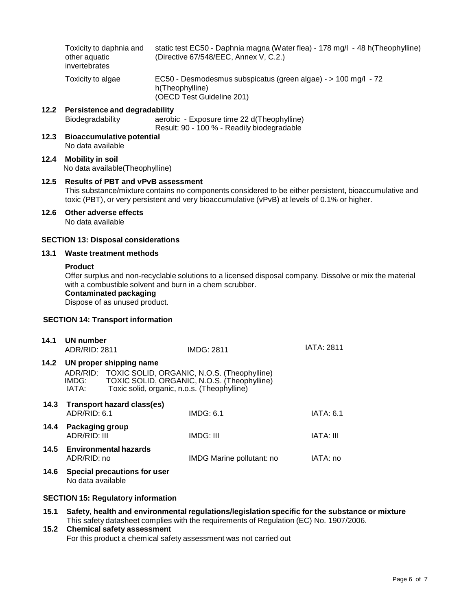|                                           | Toxicity to daphnia and<br>other aquatic<br>invertebrates                                                                                                                                                                                              | (Directive 67/548/EEC, Annex V, C.2.)                                                                          | static test EC50 - Daphnia magna (Water flea) - 178 mg/l - 48 h(Theophylline) |  |
|-------------------------------------------|--------------------------------------------------------------------------------------------------------------------------------------------------------------------------------------------------------------------------------------------------------|----------------------------------------------------------------------------------------------------------------|-------------------------------------------------------------------------------|--|
|                                           | Toxicity to algae                                                                                                                                                                                                                                      | EC50 - Desmodesmus subspicatus (green algae) - > 100 mg/l - 72<br>h(Theophylline)<br>(OECD Test Guideline 201) |                                                                               |  |
| 12.2                                      | <b>Persistence and degradability</b><br>Biodegradability<br>aerobic - Exposure time 22 d(Theophylline)<br>Result: 90 - 100 % - Readily biodegradable                                                                                                   |                                                                                                                |                                                                               |  |
| 12.3                                      | <b>Bioaccumulative potential</b><br>No data available                                                                                                                                                                                                  |                                                                                                                |                                                                               |  |
| 12.4                                      | <b>Mobility in soil</b><br>No data available(Theophylline)                                                                                                                                                                                             |                                                                                                                |                                                                               |  |
| 12.5                                      | <b>Results of PBT and vPvB assessment</b><br>This substance/mixture contains no components considered to be either persistent, bioaccumulative and<br>toxic (PBT), or very persistent and very bioaccumulative (vPvB) at levels of 0.1% or higher.     |                                                                                                                |                                                                               |  |
| 12.6                                      | Other adverse effects<br>No data available                                                                                                                                                                                                             |                                                                                                                |                                                                               |  |
|                                           | <b>SECTION 13: Disposal considerations</b>                                                                                                                                                                                                             |                                                                                                                |                                                                               |  |
| 13.1                                      | Waste treatment methods                                                                                                                                                                                                                                |                                                                                                                |                                                                               |  |
|                                           | <b>Product</b><br>Offer surplus and non-recyclable solutions to a licensed disposal company. Dissolve or mix the material<br>with a combustible solvent and burn in a chem scrubber.<br><b>Contaminated packaging</b><br>Dispose of as unused product. |                                                                                                                |                                                                               |  |
|                                           | <b>SECTION 14: Transport information</b>                                                                                                                                                                                                               |                                                                                                                |                                                                               |  |
| 14.1                                      | <b>UN number</b><br>ADR/RID: 2811                                                                                                                                                                                                                      | <b>IMDG: 2811</b>                                                                                              | <b>IATA: 2811</b>                                                             |  |
| 14.2                                      | UN proper shipping name<br>TOXIC SOLID, ORGANIC, N.O.S. (Theophylline)<br>ADR/RID:<br>TOXIC SOLID, ORGANIC, N.O.S. (Theophylline)<br>IMDG:<br>IATA:<br>Toxic solid, organic, n.o.s. (Theophylline)                                                     |                                                                                                                |                                                                               |  |
| 14.3                                      | <b>Transport hazard class(es)</b><br>ADR/RID: 6.1                                                                                                                                                                                                      | <b>IMDG: 6.1</b>                                                                                               | <b>IATA: 6.1</b>                                                              |  |
| 14.4                                      | Packaging group<br>ADR/RID: III                                                                                                                                                                                                                        | IMDG: III                                                                                                      | IATA: III                                                                     |  |
| 14.5                                      | <b>Environmental hazards</b><br>ADR/RID: no                                                                                                                                                                                                            | IMDG Marine pollutant: no                                                                                      | IATA: no                                                                      |  |
| 14.6                                      | <b>Special precautions for user</b><br>No data available                                                                                                                                                                                               |                                                                                                                |                                                                               |  |
| <b>SECTION 15: Regulatory information</b> |                                                                                                                                                                                                                                                        |                                                                                                                |                                                                               |  |
| 15.1                                      | Safety, health and environmental regulations/legislation specific for the substance or mixture                                                                                                                                                         |                                                                                                                |                                                                               |  |
| 15.2                                      | This safety datasheet complies with the requirements of Regulation (EC) No. 1907/2006.<br><b>Chemical safety assessment</b>                                                                                                                            |                                                                                                                |                                                                               |  |

For this product a chemical safety assessment was not carried out